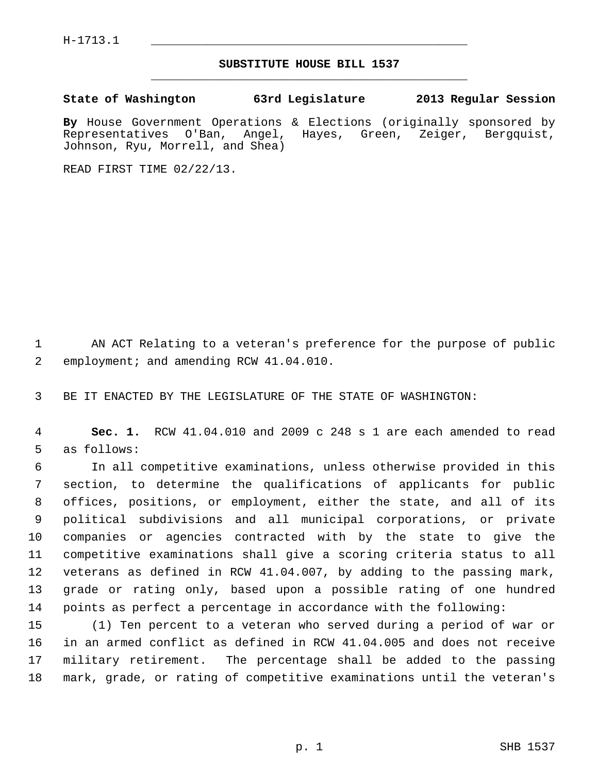$H-1713.1$ 

## **SUBSTITUTE HOUSE BILL 1537** \_\_\_\_\_\_\_\_\_\_\_\_\_\_\_\_\_\_\_\_\_\_\_\_\_\_\_\_\_\_\_\_\_\_\_\_\_\_\_\_\_\_\_\_\_

## **State of Washington 63rd Legislature 2013 Regular Session**

By House Government Operations & Elections (originally sponsored by Representatives O'Ban, Angel, Hayes, Green, Zeiger, Bergquist, Angel, Hayes, Green, Zeiger, Bergquist, Johnson, Ryu, Morrell, and Shea)

READ FIRST TIME 02/22/13.

 1 AN ACT Relating to a veteran's preference for the purpose of public 2 employment; and amending RCW 41.04.010.

3 BE IT ENACTED BY THE LEGISLATURE OF THE STATE OF WASHINGTON:

 4 **Sec. 1.** RCW 41.04.010 and 2009 c 248 s 1 are each amended to read 5 as follows:

 6 In all competitive examinations, unless otherwise provided in this 7 section, to determine the qualifications of applicants for public 8 offices, positions, or employment, either the state, and all of its 9 political subdivisions and all municipal corporations, or private 10 companies or agencies contracted with by the state to give the 11 competitive examinations shall give a scoring criteria status to all 12 veterans as defined in RCW 41.04.007, by adding to the passing mark, 13 grade or rating only, based upon a possible rating of one hundred 14 points as perfect a percentage in accordance with the following:

15 (1) Ten percent to a veteran who served during a period of war or 16 in an armed conflict as defined in RCW 41.04.005 and does not receive 17 military retirement. The percentage shall be added to the passing 18 mark, grade, or rating of competitive examinations until the veteran's